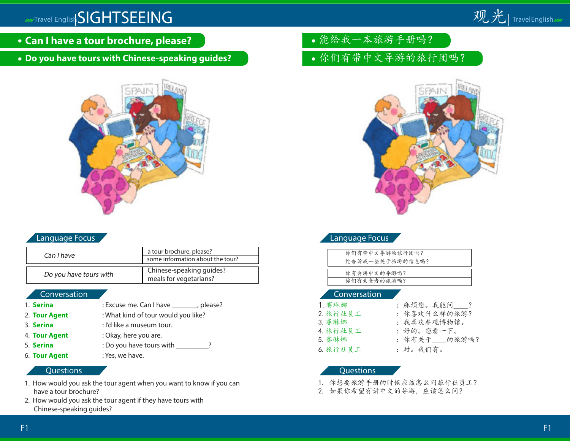

- **Can I have a tour brochure, please?**
- **Do you have tours with Chinese-speaking guides?**



## Language Focus

| Can I have             | a tour brochure, please?         |
|------------------------|----------------------------------|
|                        | some information about the tour? |
|                        |                                  |
| Do you have tours with | Chinese-speaking guides?         |
|                        | meals for vegetarians?           |

#### **Conversation**

- 1. **Serina** : Excuse me. Can I have \_\_\_\_\_\_\_, please? 2. **Tour Agent** : What kind of tour would you like? 3. **Serina** : I'd like a museum tour. 4. **Tour Agent** : Okay, here you are. 5. **Serina** : Do you have tours with \_\_\_\_\_\_\_\_?
- 6. **Tour Agent** : Yes, we have.

#### **Questions**

- 1. How would you ask the tour agent when you want to know if you can have a tour brochure?
- 2. How would you ask the tour agent if they have tours with Chinese-speaking guides?
- 能给我一本旅游手册吗?
- 你们有带中文导游的旅行团吗?



## Language Focus

| 你们有带中文导游的旅行团吗?  |
|-----------------|
| 能告诉我一些关于旅游的信息吗? |
|                 |
| 你有会讲中文的导游吗?     |
| 你们有素食者的旅游吗?     |
|                 |

#### Conversation

| 1. 赛琳娜   | : 麻烦您。我能问  ?  |
|----------|---------------|
| 2. 旅行社员工 | : 你喜欢什么样的旅游?  |
| 3. 赛琳娜   | : 我喜欢参观博物馆。   |
| 4. 旅行社员工 | :好的。您看一下。     |
| 5. 赛琳娜   | : 你有关于  的旅游吗? |
| 6. 旅行社员工 | :对。我们有。       |

- 1. 你想要旅游手册的时候应该怎么问旅行社员工?
- 2. 如果你希望有讲中文的导游,应该怎么问?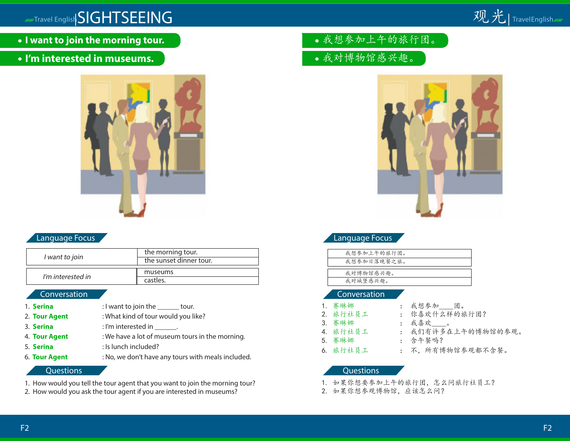

**I want to join the morning tour.**

## **I'm interested in museums.**



### Language Focus

| I want to join    | the morning tour.       |
|-------------------|-------------------------|
|                   | the sunset dinner tour. |
|                   |                         |
| I'm interested in | museums                 |
|                   | castles.                |

### **Conversation**

- 1. **Serina** : I want to join the tour.
- 2. **Tour Agent** : What kind of tour would you like?
- 3. **Serina** : I'm interested in
- 4. **Tour Agent** : We have a lot of museum tours in the morning.
- 5. **Serina** : Is lunch included?
- 
- 6. **Tour Agent** : No, we don't have any tours with meals included.

#### **Questions**

- 1. How would you tell the tour agent that you want to join the morning tour?
- 2. How would you ask the tour agent if you are interested in museums?
- 我想参加上午的旅行团。
- 我对博物馆感兴趣。



## Language Focus

| 我想参加上午的旅行团。 |
|-------------|
| 我想参加日落晚餐之旅。 |
|             |
| 我对博物馆感兴趣。   |
| 我对城堡感兴趣。    |
|             |

#### Conversation

- 3. 赛琳娜 | 我喜欢 | 。 5. 赛琳娜 : 含午餐吗?
	- 1. 赛琳娜 : 我想参加 团。
- 2. 旅行社员工 : 你喜欢什么样的旅行团?
	-
- 4. 旅行社员工 : 我们有许多在上午的博物馆的参观。
	-
- 6. 旅行社员工 : 不,所有博物馆参观都不含餐。

- 1. 如果你想要参加上午的旅行团,怎么问旅行社员工?
- 2. 如果你想参观博物馆,应该怎么问?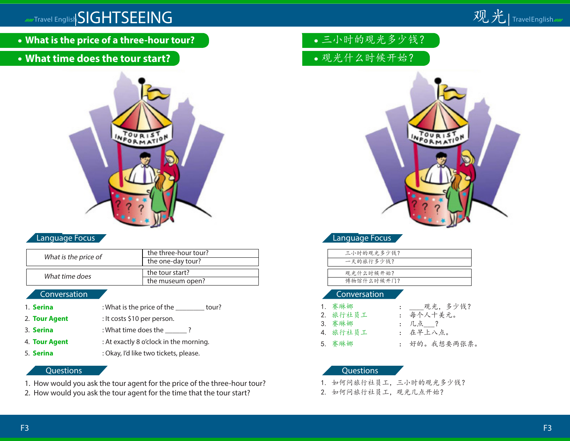

- **What is the price of a three-hour tour?**
- **What time does the tour start?**



## Language Focus

| What is the price of | the three-hour tour?<br>the one-day tour? |
|----------------------|-------------------------------------------|
| What time does       | the tour start?                           |
|                      | the museum open?                          |

### Conversation

- 1. **Serina** : What is the price of the \_\_\_\_\_\_\_\_ tour?
- 2. **Tour Agent** : It costs \$10 per person.
- 3. **Serina** : What time does the \_\_\_\_\_\_?
- 4. **Tour Agent** : At exactly 8 o'clock in the morning.
- 5. **Serina** : Okay, I'd like two tickets, please.

# **Questions**

- 1. How would you ask the tour agent for the price of the three-hour tour?
- 2. How would you ask the tour agent for the time that the tour start?
- 三小时的观光多少钱?
- 观光什么时候开始?



## Language Focus

| 三小时的观光多少钱? |
|------------|
| 一天的旅行多少钱?  |
|            |
| 观光什么时候开始?  |
| 博物馆什么时候开门? |
|            |

#### Conversation

| 1. 赛琳娜   | : ____ 观光, 多少钱? |
|----------|-----------------|
| 2. 旅行社员工 | : 每个人十美元。       |
| 3. 赛琳娜   | : 几点___?        |
| 4. 旅行社员工 | : 在早上八点。        |
| 5. 赛琳娜   | : 好的。我想要两张票。    |

- 1. 如何问旅行社员工,三小时的观光多少钱?
- 2. 如何问旅行社员工,观光几点开始?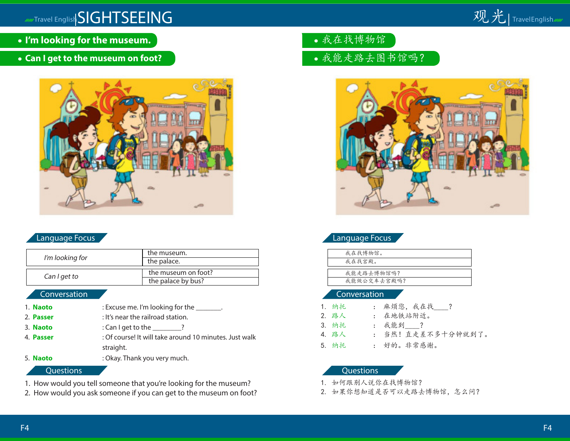

- **I'm looking for the museum.**
- **Can I get to the museum on foot?**



## Language Focus

| I'm looking for | the museum.         |
|-----------------|---------------------|
|                 | the palace.         |
|                 |                     |
| Can I get to    | the museum on foot? |
|                 | the palace by bus?  |

## **Conversation**

| 1. Naoto         | : Excuse me. I'm looking for the _______.              |
|------------------|--------------------------------------------------------|
| 2. Passer        | : It's near the railroad station.                      |
| 3. Naoto         | : Can I get to the $\_\_\_\_\_\$ ?                     |
| 4. <b>Passer</b> | : Of course! It will take around 10 minutes. Just walk |
|                  | straight.                                              |
| 5. Naoto         | : Okay. Thank you very much.                           |
|                  |                                                        |

### **Questions**

- 1. How would you tell someone that you're looking for the museum?
- 2. How would you ask someone if you can get to the museum on foot?
- 我在找博物馆
- 我能走路去图书馆吗?



## Language Focus

| 我在找博物馆。     |
|-------------|
| 我在找宫殿。      |
|             |
| 我能走路去博物馆吗?  |
| 我能做公交车去宫殿吗? |
|             |

#### Conversation

| 1. 纳托 | : 麻烦您, 我在找 ?      |
|-------|-------------------|
| 2. 路人 | : 在地铁站附近。         |
| 3. 纳托 | : 我能到 ?           |
| 4. 路人 | : 当然!直走差不多十分钟就到了。 |
| 5. 纳托 | : 好的。非常感谢。        |

- 1. 如何跟别人说你在找博物馆?
- 2. 如果你想知道是否可以走路去博物馆,怎么问?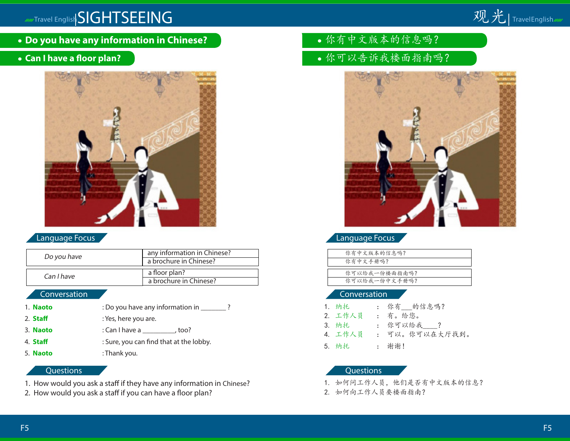

- **Do you have any information in Chinese?**
- **Can I have a floor plan?**



## Language Focus

| Do you have | any information in Chinese?<br>a brochure in Chinese? |
|-------------|-------------------------------------------------------|
| Can I have  | a floor plan?<br>a brochure in Chinese?               |

### Conversation

- 1. **Naoto** : Do you have any information in \_\_\_\_\_\_\_ ?
- 2. **Staff** : Yes, here you are.
- 3. **Naoto** : Can I have a \_\_\_\_\_\_\_\_\_, too?
- 4. **Staff** : Sure, you can find that at the lobby.
- 5. **Naoto** : Thank you.

### **Questions**

- 1. How would you ask a staff if they have any information in Chinese?
- 2. How would you ask a staff if you can have a floor plan?
- 你有中文版本的信息吗?
- 你可以告诉我楼面指南吗?



Language Focus

| 你有中文版本的信息吗?   |
|---------------|
| 你有中文手册吗?      |
|               |
| 你可以给我一份楼面指南吗? |
| 你可以给我一份中文手册吗? |
|               |

#### Conversation

| 1. 纳托   | : 你有___的信息嗎?   |
|---------|----------------|
| 2. 工作人员 | : 有。给您。        |
| 3. 纳托   | : 你可以给我?       |
| 4. 工作人员 | : 可以。你可以在大厅找到。 |
| 5. 纳托   | : 谢谢!          |

- 1. 如何问工作人员,他们是否有中文版本的信息?
- 2. 如何向工作人员要楼面指南?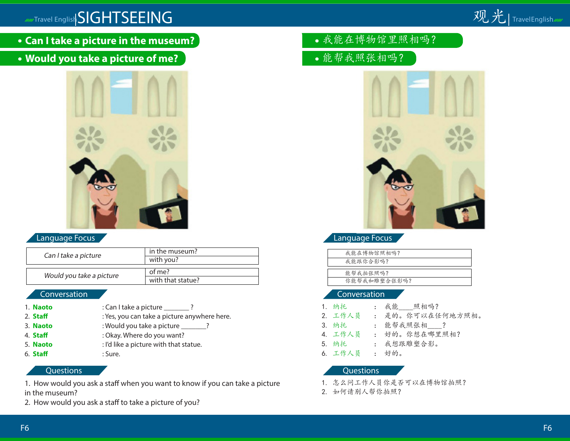

- **Can I take a picture in the museum?**
- **Would you take a picture of me?**



## Language Focus

| Can I take a picture     | in the museum?    |
|--------------------------|-------------------|
|                          | with you?         |
|                          |                   |
| Would you take a picture | of me?            |
|                          | with that statue? |

### Conversation

- 1. **Naoto** : Can I take a picture \_\_\_\_\_\_\_ ?
- 2. **Staff** : Yes, you can take a picture anywhere here.
- 3. **Naoto** : Would you take a picture ?
- 4. **Staff be a state of the state of Start 2. Okay.** Where do you want?
- 
- 5. **Naoto** : I'd like a picture with that statue. 6. **Staff** : Sure.

## **Questions**

1. How would you ask a staff when you want to know if you can take a picture in the museum?

2. How would you ask a staff to take a picture of you?

- 我能在博物馆里照相吗?
- 能帮我照张相吗?



## Language Focus

| 我能在博物馆照相吗?   |
|--------------|
| 我能跟你合影吗?     |
|              |
| 能帮我拍张照吗?     |
| 你能帮我和雕塑合张影吗? |
|              |

#### Conversation

| 1. 纳托   | : 我能 照相吗?        |
|---------|------------------|
| 2. 工作人员 | : 是的。你可以在任何地方照相。 |
| 3. 纳托   | : 能帮我照张相 ?       |
| 4. 工作人员 | : 好的。你想在哪里照相?    |
| 5. 纳托   | : 我想跟雕塑合影。       |
| 6. 工作人员 | : 好的。            |

- 1. 怎么问工作人员你是否可以在博物馆拍照?
- 2. 如何请别人帮你拍照?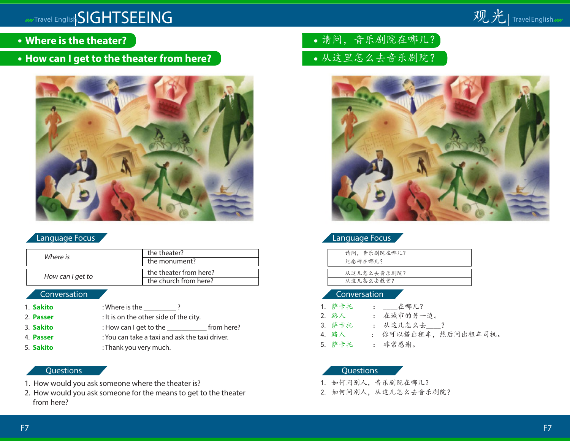

- **Where is the theater?**
- **How can I get to the theater from here?**



## Language Focus

| Where is         | the theater?           |  |
|------------------|------------------------|--|
|                  | the monument?          |  |
|                  |                        |  |
| How can I get to | the theater from here? |  |
|                  | the church from here?  |  |

### Conversation

| 1. Sakito | : Where is the                                 |            |
|-----------|------------------------------------------------|------------|
| 2. Passer | : It is on the other side of the city.         |            |
| 3. Sakito | : How can I get to the                         | from here? |
| 4. Passer | : You can take a taxi and ask the taxi driver. |            |
| 5. Sakito | : Thank you very much.                         |            |

## **Questions**

- 1. How would you ask someone where the theater is?
- 2. How would you ask someone for the means to get to the theater from here?
- 请问,音乐剧院在哪儿?
- 从这里怎么去音乐剧院?



## Language Focus

| 请问, 音乐剧院在哪儿? |
|--------------|
| 纪念碑在哪儿?      |
|              |
| 从这儿怎么去音乐剧院?  |
| 从这儿怎么去教堂?    |
|              |

#### Conversation

| 1. 萨卡托 | : 在哪儿?               |
|--------|----------------------|
| 2. 路人  | : 在城市的另一边。           |
| 3. 萨卡托 | : 从这儿怎么去?            |
| 4.路人   | : 你可以搭出租车, 然后问出租车司机。 |
| 5. 萨卡托 | : 非常感谢。              |

- 1. 如何问别人,音乐剧院在哪儿?
- 2. 如何问别人,从这儿怎么去音乐剧院?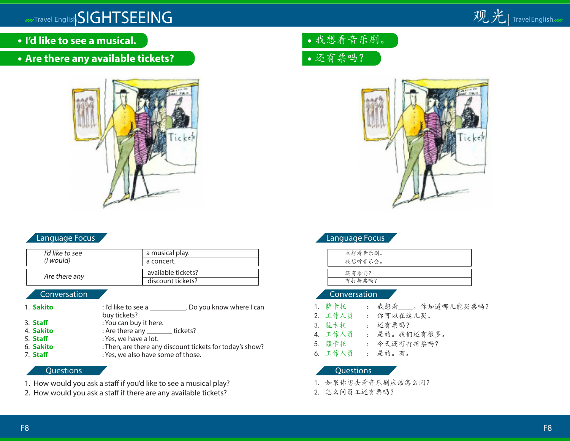

- **I'd like to see a musical.**
- **Are there any available tickets?**



## Language Focus

| I'd like to see   | a musical play.                         |
|-------------------|-----------------------------------------|
| ( <i>l</i> would) | a concert.                              |
| Are there any     | available tickets?<br>discount tickets? |

## Conversation

- 1. **Sakito** : I'd like to see a . Do you know where I can buy tickets?
- 3. **Staff** : You can buy it here.
- 4. **Sakito** : Are there any tickets?
- 5. **Staff** : Yes, we have a lot.
- 6. **Sakito** : Then, are there any discount tickets for today's show?
- 7. **Staff** : Yes, we also have some of those.

### **Questions**

- 1. How would you ask a staff if you'd like to see a musical play?
- 2. How would you ask a staff if there are any available tickets?





## Language Focus

| 我想看音乐剧。 |  |
|---------|--|
| 我想听音乐会。 |  |
|         |  |
| 还有票吗?   |  |
| 有打折票吗?  |  |

#### Conversation

- 1. 萨卡托 : 我想看 。你知道哪儿能买票吗?
- 2. 工作人员 : 你可以在这儿买。
- 3. 薩卡托 : 还有票吗?
- 4. 工作人员 : 是的。我们还有很多。
- 5. 薩卡托 : 今天还有打折票吗?
- 6. 工作人员 : 是的。有。

- 1. 如果你想去看音乐剧应该怎么问?
- 2. 怎么问员工还有票吗?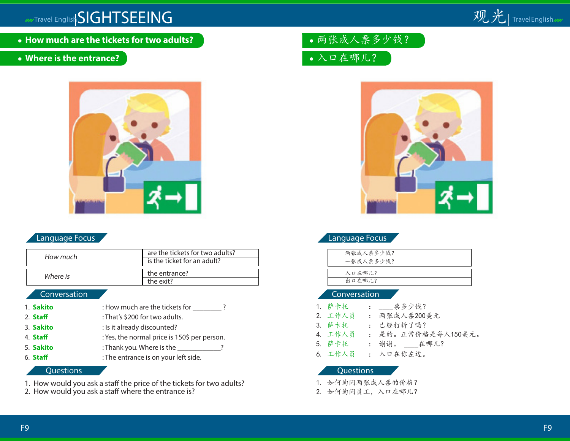

**How much are the tickets for two adults?**

## **Where is the entrance?**



## Language Focus

| How much | are the tickets for two adults?<br>is the ticket for an adult? |
|----------|----------------------------------------------------------------|
| Where is | the entrance?<br>the exit?                                     |

### Conversation

| 1. Sakito | : How much are the tickets for ______        |
|-----------|----------------------------------------------|
| 2. Staff  | : That's \$200 for two adults.               |
| 3. Sakito | : Is it already discounted?                  |
| 4. Staff  | : Yes, the normal price is 150\$ per person. |
| 5. Sakito | : Thank you. Where is the _______            |
| 6. Staff  | : The entrance is on your left side.         |
|           |                                              |

#### **Questions**

1. How would you ask a staff the price of the tickets for two adults?

2. How would you ask a staff where the entrance is?

两张成人票多少钱?

入口在哪儿?



## Language Focus

| 两张成人票多少钱? |  |
|-----------|--|
| 一张成人票多少钱? |  |
|           |  |
| 入口在哪儿?    |  |
| 出口在哪儿?    |  |

#### Conversation

1. 萨卡托 : 票多少钱? 2. 工作人员 : 两张成人票200美元 3. 萨卡托 : 已经打折了吗? 4. 工作人员 : 是的。正常价格是每人150美元。 5. 萨卡托 : 谢谢。 \_\_\_\_在哪儿? 6. 工作人员 : 入口在你左边。

- 1. 如何询问两张成人票的价格?
- 2. 如何询问员工,入口在哪儿?